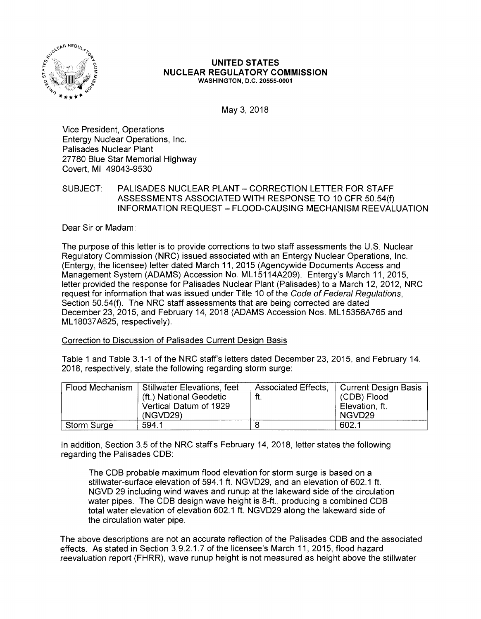

## **UNITED STATES NUCLEAR REGULATORY COMMISSION WASHINGTON, D.C. 20555-0001**

May 3, 2018

Vice President, Operations Entergy Nuclear Operations, Inc. Palisades Nuclear Plant 27780 Blue Star Memorial Highway Covert, Ml 49043-9530

## SUBJECT: PALISADES NUCLEAR PLANT - CORRECTION LETTER FOR STAFF ASSESSMENTS ASSOCIATED WITH RESPONSE TO 10 CFR 50.54(f) INFORMATION REQUEST - FLOOD-CAUSING MECHANISM REEVALUATION

Dear Sir or Madam:

The purpose of this letter is to provide corrections to two staff assessments the U.S. Nuclear Regulatory Commission (NRC) issued associated with an Entergy Nuclear Operations, Inc. (Entergy, the licensee) letter dated March 11, 2015 (Agencywide Documents Access and Management System (ADAMS) Accession No. ML 15114A209). Entergy's March 11, 2015, letter provided the response for Palisades Nuclear Plant (Palisades) to a March 12, 2012, NRC request for information that was issued under Title 10 of the Code of Federal Regulations, Section 50.54(f). The NRC staff assessments that are being corrected are dated December 23, 2015, and February 14, 2018 (ADAMS Accession Nos. ML15356A765 and ML 18037 A625, respectively).

Correction to Discussion of Palisades Current Design Basis

Table 1 and Table 3.1-1 of the NRC staff's letters dated December 23, 2015, and February 14, 2018, respectively, state the following regarding storm surge:

| Flood Mechanism    | <b>Stillwater Elevations, feet</b><br>(ft.) National Geodetic<br>Vertical Datum of 1929<br>(NGVD29) | Associated Effects,<br>ft. | <b>Current Design Basis</b><br>(CDB) Flood<br>Elevation, ft.<br>NGVD <sub>29</sub> |
|--------------------|-----------------------------------------------------------------------------------------------------|----------------------------|------------------------------------------------------------------------------------|
| <b>Storm Surge</b> | 594.1                                                                                               |                            | 602.1                                                                              |

In addition, Section 3.5 of the NRC staff's February 14, 2018, letter states the following regarding the Palisades COB:

The COB probable maximum flood elevation for storm surge is based on a stillwater-surface elevation of 594.1 ft. NGVD29, and an elevation of 602.1 ft. NGVD 29 including wind waves and runup at the lakeward side of the circulation water pipes. The COB design wave height is 8-ft., producing a combined COB total water elevation of elevation 602.1 ft. NGVD29 along the lakeward side of the circulation water pipe.

The above descriptions are not an accurate reflection of the Palisades COB and the associated effects. As stated in Section 3.9.2.1.7 of the licensee's March 11, 2015, flood hazard reevaluation report (FHRR), wave runup height is not measured as height above the stillwater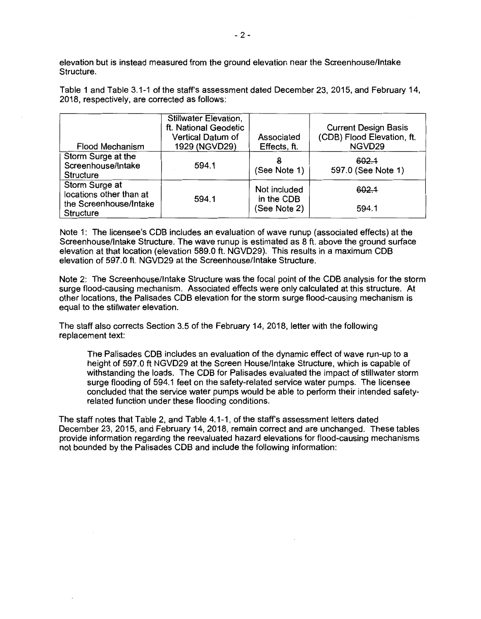elevation but is instead measured from the ground elevation near the Screenhouse/lntake Structure.

Table 1 and Table 3.1-1 of the **staff's** assessment dated December 23, 2015, and February 14, 2018, respectively, are corrected as follows:

| <b>Flood Mechanism</b>                                                                  | <b>Stillwater Elevation,</b><br>ft. National Geodetic<br><b>Vertical Datum of</b><br>1929 (NGVD29) | Associated<br>Effects, ft.                 | <b>Current Design Basis</b><br>(CDB) Flood Elevation, ft.<br>NGVD29 |
|-----------------------------------------------------------------------------------------|----------------------------------------------------------------------------------------------------|--------------------------------------------|---------------------------------------------------------------------|
| Storm Surge at the<br>Screenhouse/Intake<br>Structure                                   | 594.1                                                                                              | 8<br>(See Note 1)                          | 602.4<br>597.0 (See Note 1)                                         |
| Storm Surge at<br>locations other than at<br>the Screenhouse/Intake<br><b>Structure</b> | 594.1                                                                                              | Not included<br>in the CDB<br>(See Note 2) | 602.1<br>594.1                                                      |

Note 1: The licensee's COB includes an evaluation of wave runup (associated effects) at the Screenhouse/lntake Structure. The wave runup is estimated as 8 ft. above the ground surface elevation at that location (elevation 589.0 ft. NGVD29). This results in a maximum COB elevation of 597.0 ft. NGVD29 at the Screenhouse/lntake Structure.

Note 2: The Screenhouse/lntake Structure was the focal point of the COB analysis for the storm surge flood-causing mechanism. Associated effects were only calculated at this structure. At other locations, the Palisades COB elevation for the storm surge flood-causing mechanism is equal to the stillwater elevation.

The staff also corrects Section 3.5 of the February 14, 2018, letter with the following replacement text:

The Palisades COB includes an evaluation of the dynamic effect of wave run-up to a height of 597.0 ft NGVD29 at the Screen House/Intake Structure, which is capable of withstanding the loads. The COB for Palisades evaluated the impact of stillwater storm surge flooding of 594.1 feet on the safety-related service water pumps. The licensee concluded that the service water pumps would be able to perform their intended safetyrelated function under these flooding conditions.

The staff notes that Table 2, and Table 4.1-1, of the staff's assessment letters dated December 23, 2015, and February 14, 2018, remain correct and are unchanged. These tables provide information regarding the reevaluated hazard elevations for flood-causing mechanisms not bounded by the Palisades COB and include the following information: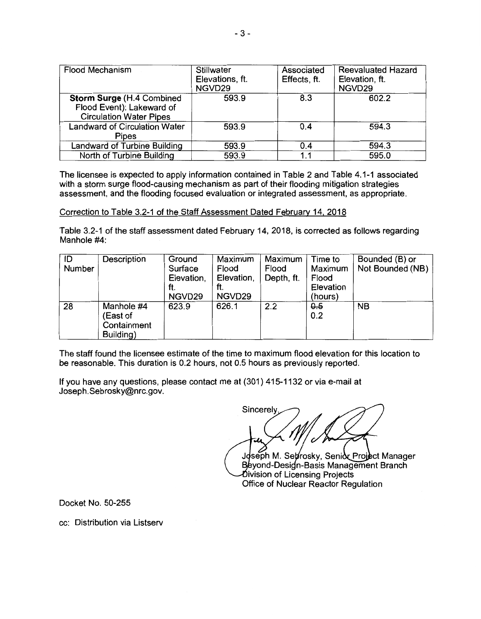| <b>Flood Mechanism</b>                                                                           | Stillwater<br>Elevations, ft.<br>NGVD29 | Associated<br>Effects, ft. | <b>Reevaluated Hazard</b><br>Elevation, ft.<br>NGVD29 |
|--------------------------------------------------------------------------------------------------|-----------------------------------------|----------------------------|-------------------------------------------------------|
| <b>Storm Surge (H.4 Combined)</b><br>Flood Event): Lakeward of<br><b>Circulation Water Pipes</b> | 593.9                                   | 8.3                        | 602.2                                                 |
| <b>Landward of Circulation Water</b><br><b>Pipes</b>                                             | 593.9                                   | 0.4                        | 594.3                                                 |
| Landward of Turbine Building                                                                     | 593.9                                   | 0.4                        | 594.3                                                 |
| North of Turbine Building                                                                        | 593.9                                   | 1.1                        | 595.0                                                 |

The licensee is expected to apply information contained in Table 2 and Table 4.1-1 associated with a storm surge flood-causing mechanism as part of their flooding mitigation strategies assessment, and the flooding focused evaluation or integrated assessment, as appropriate.

## Correction to Table 3.2-1 of the Staff Assessment Dated February 14, 2018

Table 3.2-1 of the staff assessment dated February 14, 2018, is corrected as follows regarding Manhole #4:

| ID<br>Number | Description                                        | Ground<br>Surface<br>Elevation,<br>ft.<br>NGVD29 | Maximum<br>Flood<br>Elevation,<br>ft.<br>NGVD29 | Maximum<br>Flood<br>Depth, ft. | Time to<br>Maximum<br>Flood<br>Elevation<br>(hours) | Bounded (B) or<br>Not Bounded (NB) |
|--------------|----------------------------------------------------|--------------------------------------------------|-------------------------------------------------|--------------------------------|-----------------------------------------------------|------------------------------------|
| 28           | Manhole #4<br>(East of<br>Containment<br>Building) | 623.9                                            | 626.1                                           | 2.2                            | 0.5<br>0.2                                          | <b>NB</b>                          |

The staff found the licensee estimate of the time to maximum flood elevation for this location to be reasonable. This duration is 0.2 hours, not 0.5 hours as previously reported.

If you have any questions, please contact me at (301) 415-1132 or via e-mail at Joseph.Sebrosky@nrc.gov.

Sincerely

Joseph M. Sel rosky, Senic Project Manager Beyond-Design-Basis Management Branch Division of Licensing Projects Office of Nuclear Reactor Regulation

Docket No. 50-255

cc: Distribution via Listserv